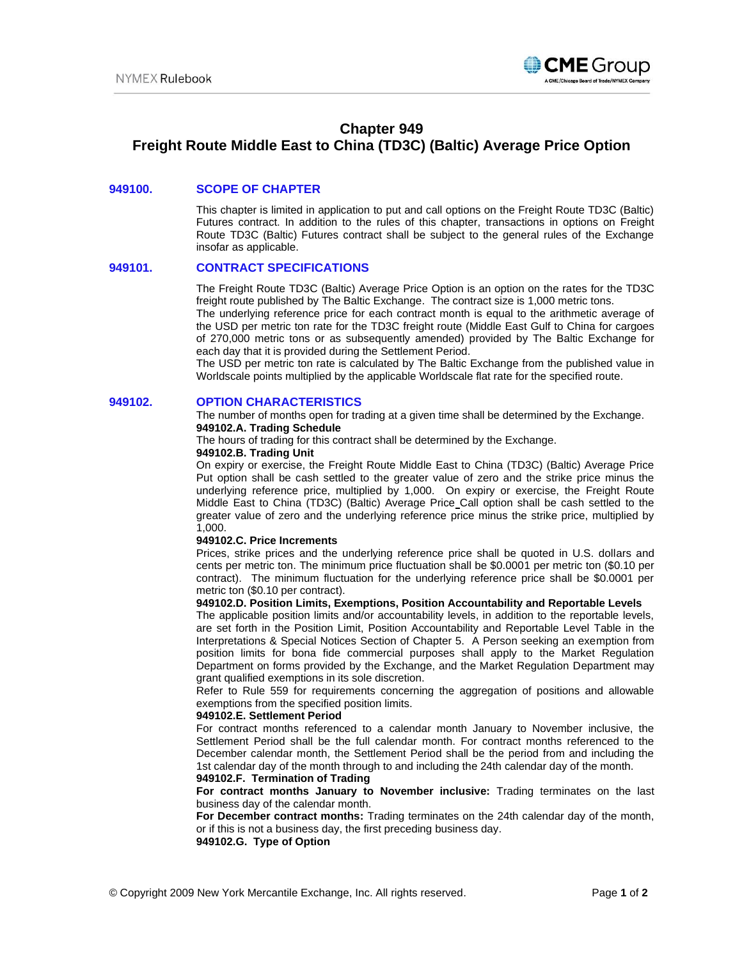

# **Chapter 949**

# **Freight Route Middle East to China (TD3C) (Baltic) Average Price Option**

## **949100. SCOPE OF CHAPTER**

This chapter is limited in application to put and call options on the Freight Route TD3C (Baltic) Futures contract. In addition to the rules of this chapter, transactions in options on Freight Route TD3C (Baltic) Futures contract shall be subject to the general rules of the Exchange insofar as applicable.

### **949101. CONTRACT SPECIFICATIONS**

The Freight Route TD3C (Baltic) Average Price Option is an option on the rates for the TD3C freight route published by The Baltic Exchange. The contract size is 1,000 metric tons.

The underlying reference price for each contract month is equal to the arithmetic average of the USD per metric ton rate for the TD3C freight route (Middle East Gulf to China for cargoes of 270,000 metric tons or as subsequently amended) provided by The Baltic Exchange for each day that it is provided during the Settlement Period.

The USD per metric ton rate is calculated by The Baltic Exchange from the published value in Worldscale points multiplied by the applicable Worldscale flat rate for the specified route.

## **949102. OPTION CHARACTERISTICS**

The number of months open for trading at a given time shall be determined by the Exchange. **949102.A. Trading Schedule** 

The hours of trading for this contract shall be determined by the Exchange.

# **949102.B. Trading Unit**

On expiry or exercise, the Freight Route Middle East to China (TD3C) (Baltic) Average Price Put option shall be cash settled to the greater value of zero and the strike price minus the underlying reference price, multiplied by 1,000. On expiry or exercise, the Freight Route Middle East to China (TD3C) (Baltic) Average Price Call option shall be cash settled to the greater value of zero and the underlying reference price minus the strike price, multiplied by 1,000.

#### **949102.C. Price Increments**

Prices, strike prices and the underlying reference price shall be quoted in U.S. dollars and cents per metric ton. The minimum price fluctuation shall be \$0.0001 per metric ton (\$0.10 per contract). The minimum fluctuation for the underlying reference price shall be \$0.0001 per metric ton (\$0.10 per contract).

### **949102.D. Position Limits, Exemptions, Position Accountability and Reportable Levels**

The applicable position limits and/or accountability levels, in addition to the reportable levels, are set forth in the Position Limit, Position Accountability and Reportable Level Table in the Interpretations & Special Notices Section of Chapter 5. A Person seeking an exemption from position limits for bona fide commercial purposes shall apply to the Market Regulation Department on forms provided by the Exchange, and the Market Regulation Department may grant qualified exemptions in its sole discretion.

Refer to Rule 559 for requirements concerning the aggregation of positions and allowable exemptions from the specified position limits.

#### **949102.E. Settlement Period**

For contract months referenced to a calendar month January to November inclusive, the Settlement Period shall be the full calendar month. For contract months referenced to the December calendar month, the Settlement Period shall be the period from and including the 1st calendar day of the month through to and including the 24th calendar day of the month. **949102.F. Termination of Trading** 

**For contract months January to November inclusive:** Trading terminates on the last business day of the calendar month.

**For December contract months:** Trading terminates on the 24th calendar day of the month, or if this is not a business day, the first preceding business day.

**949102.G. Type of Option**